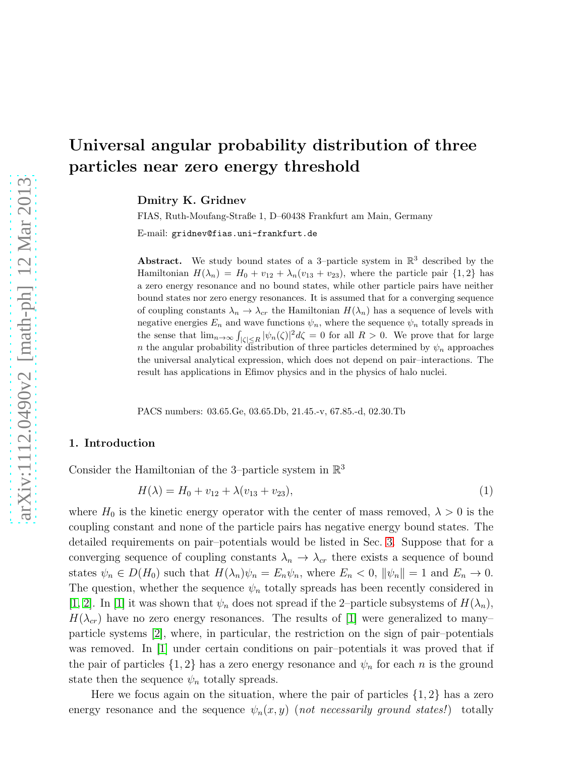Dmitry K. Gridnev

FIAS, Ruth-Moufang-Straße 1, D–60438 Frankfurt am Main, Germany

E-mail: gridnev@fias.uni-frankfurt.de

Abstract. We study bound states of a 3-particle system in  $\mathbb{R}^3$  described by the Hamiltonian  $H(\lambda_n) = H_0 + v_{12} + \lambda_n (v_{13} + v_{23})$ , where the particle pair  $\{1,2\}$  has a zero energy resonance and no bound states, while other particle pairs have neither bound states nor zero energy resonances. It is assumed that for a converging sequence of coupling constants  $\lambda_n \to \lambda_{cr}$  the Hamiltonian  $H(\lambda_n)$  has a sequence of levels with negative energies  $E_n$  and wave functions  $\psi_n$ , where the sequence  $\psi_n$  totally spreads in the sense that  $\lim_{n\to\infty} \int_{|\zeta|\leq R} |\psi_n(\zeta)|^2 d\zeta = 0$  for all  $R > 0$ . We prove that for large n the angular probability distribution of three particles determined by  $\psi_n$  approaches the universal analytical expression, which does not depend on pair–interactions. The result has applications in Efimov physics and in the physics of halo nuclei.

PACS numbers: 03.65.Ge, 03.65.Db, 21.45.-v, 67.85.-d, 02.30.Tb

## <span id="page-0-1"></span>1. Introduction

Consider the Hamiltonian of the 3-particle system in  $\mathbb{R}^3$ 

<span id="page-0-0"></span>
$$
H(\lambda) = H_0 + v_{12} + \lambda (v_{13} + v_{23}), \tag{1}
$$

where  $H_0$  is the kinetic energy operator with the center of mass removed,  $\lambda > 0$  is the coupling constant and none of the particle pairs has negative energy bound states. The detailed requirements on pair–potentials would be listed in Sec. [3.](#page-3-0) Suppose that for a converging sequence of coupling constants  $\lambda_n \to \lambda_{cr}$  there exists a sequence of bound states  $\psi_n \in D(H_0)$  such that  $H(\lambda_n)\psi_n = E_n\psi_n$ , where  $E_n < 0$ ,  $\|\psi_n\| = 1$  and  $E_n \to 0$ . The question, whether the sequence  $\psi_n$  totally spreads has been recently considered in [\[1,](#page-16-0) [2\]](#page-16-1). In [\[1\]](#page-16-0) it was shown that  $\psi_n$  does not spread if the 2-particle subsystems of  $H(\lambda_n)$ ,  $H(\lambda_{cr})$  have no zero energy resonances. The results of [\[1\]](#page-16-0) were generalized to many– particle systems [\[2\]](#page-16-1), where, in particular, the restriction on the sign of pair–potentials was removed. In [\[1\]](#page-16-0) under certain conditions on pair–potentials it was proved that if the pair of particles  $\{1,2\}$  has a zero energy resonance and  $\psi_n$  for each n is the ground state then the sequence  $\psi_n$  totally spreads.

Here we focus again on the situation, where the pair of particles  $\{1, 2\}$  has a zero energy resonance and the sequence  $\psi_n(x, y)$  (not necessarily ground states!) totally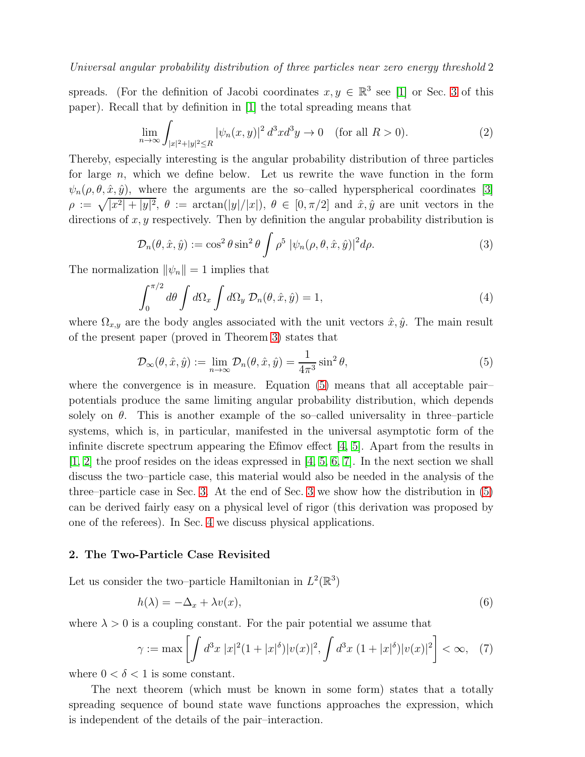spreads. (For the definition of Jacobi coordinates  $x, y \in \mathbb{R}^3$  see [\[1\]](#page-16-0) or Sec. [3](#page-3-0) of this paper). Recall that by definition in [\[1\]](#page-16-0) the total spreading means that

$$
\lim_{n \to \infty} \int_{|x|^2 + |y|^2 \le R} |\psi_n(x, y)|^2 d^3x d^3y \to 0 \quad \text{(for all } R > 0).
$$
 (2)

Thereby, especially interesting is the angular probability distribution of three particles for large  $n$ , which we define below. Let us rewrite the wave function in the form  $\psi_n(\rho,\theta,\hat{x},\hat{y})$ , where the arguments are the so-called hyperspherical coordinates [\[3\]](#page-16-2)  $\rho := \sqrt{|x^2| + |y|^2}$ ,  $\theta := \arctan(|y|/|x|)$ ,  $\theta \in [0, \pi/2]$  and  $\hat{x}, \hat{y}$  are unit vectors in the directions of  $x, y$  respectively. Then by definition the angular probability distribution is

<span id="page-1-2"></span>
$$
\mathcal{D}_n(\theta, \hat{x}, \hat{y}) := \cos^2 \theta \sin^2 \theta \int \rho^5 |\psi_n(\rho, \theta, \hat{x}, \hat{y})|^2 d\rho.
$$
 (3)

The normalization  $\|\psi_n\| = 1$  implies that

$$
\int_0^{\pi/2} d\theta \int d\Omega_x \int d\Omega_y \mathcal{D}_n(\theta, \hat{x}, \hat{y}) = 1,
$$
\n(4)

where  $\Omega_{x,y}$  are the body angles associated with the unit vectors  $\hat{x}, \hat{y}$ . The main result of the present paper (proved in Theorem [3\)](#page-4-0) states that

<span id="page-1-0"></span>
$$
\mathcal{D}_{\infty}(\theta, \hat{x}, \hat{y}) := \lim_{n \to \infty} \mathcal{D}_n(\theta, \hat{x}, \hat{y}) = \frac{1}{4\pi^3} \sin^2 \theta,
$$
\n(5)

where the convergence is in measure. Equation [\(5\)](#page-1-0) means that all acceptable pairpotentials produce the same limiting angular probability distribution, which depends solely on  $\theta$ . This is another example of the so–called universality in three–particle systems, which is, in particular, manifested in the universal asymptotic form of the infinite discrete spectrum appearing the Efimov effect [\[4,](#page-16-3) [5\]](#page-16-4). Apart from the results in [\[1,](#page-16-0) [2\]](#page-16-1) the proof resides on the ideas expressed in [\[4,](#page-16-3) [5,](#page-16-4) [6,](#page-16-5) [7\]](#page-16-6). In the next section we shall discuss the two–particle case, this material would also be needed in the analysis of the three–particle case in Sec. [3.](#page-3-0) At the end of Sec. [3](#page-3-0) we show how the distribution in [\(5\)](#page-1-0) can be derived fairly easy on a physical level of rigor (this derivation was proposed by one of the referees). In Sec. [4](#page-15-0) we discuss physical applications.

## 2. The Two-Particle Case Revisited

Let us consider the two-particle Hamiltonian in  $L^2(\mathbb{R}^3)$ 

$$
h(\lambda) = -\Delta_x + \lambda v(x),\tag{6}
$$

where  $\lambda > 0$  is a coupling constant. For the pair potential we assume that

<span id="page-1-1"></span>
$$
\gamma := \max \left[ \int d^3x \, |x|^2 (1+|x|^\delta) |v(x)|^2, \int d^3x \, (1+|x|^\delta) |v(x)|^2 \right] < \infty, \tag{7}
$$

where  $0 < \delta < 1$  is some constant.

The next theorem (which must be known in some form) states that a totally spreading sequence of bound state wave functions approaches the expression, which is independent of the details of the pair–interaction.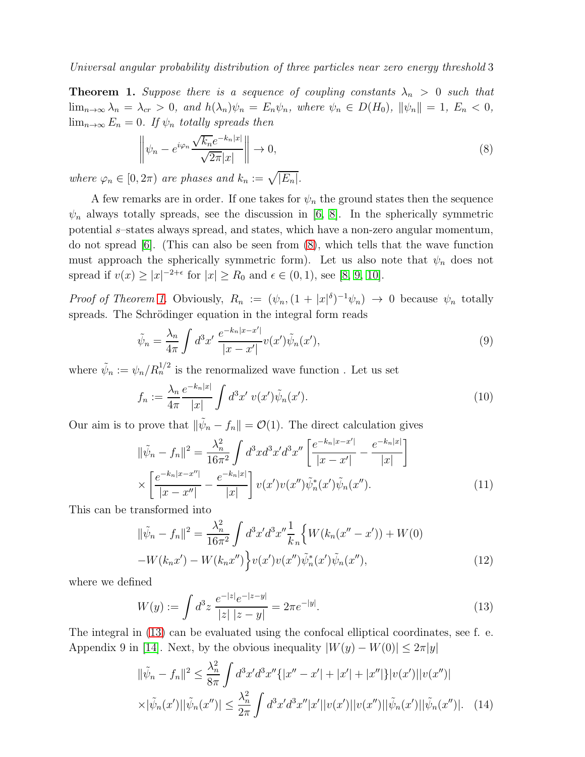<span id="page-2-1"></span>**Theorem 1.** Suppose there is a sequence of coupling constants  $\lambda_n > 0$  such that  $\lim_{n\to\infty}\lambda_n = \lambda_{cr} > 0$ , and  $h(\lambda_n)\psi_n = E_n\psi_n$ , where  $\psi_n \in D(H_0)$ ,  $\|\psi_n\| = 1$ ,  $E_n < 0$ ,  $\lim_{n\to\infty} E_n = 0$ . If  $\psi_n$  totally spreads then

<span id="page-2-0"></span>
$$
\left\| \psi_n - e^{i\varphi_n} \frac{\sqrt{k_n} e^{-k_n|x|}}{\sqrt{2\pi}|x|} \right\| \to 0,
$$
\n(8)

where  $\varphi_n \in [0, 2\pi)$  are phases and  $k_n := \sqrt{|E_n|}$ .

A few remarks are in order. If one takes for  $\psi_n$  the ground states then the sequence  $\psi_n$  always totally spreads, see the discussion in [\[6,](#page-16-5) [8\]](#page-16-7). In the spherically symmetric potential s–states always spread, and states, which have a non-zero angular momentum, do not spread [\[6\]](#page-16-5). (This can also be seen from [\(8\)](#page-2-0), which tells that the wave function must approach the spherically symmetric form). Let us also note that  $\psi_n$  does not spread if  $v(x) \ge |x|^{-2+\epsilon}$  for  $|x| \ge R_0$  and  $\epsilon \in (0,1)$ , see [\[8,](#page-16-7) [9,](#page-16-8) [10\]](#page-16-9).

*Proof of Theorem [1.](#page-2-1)* Obviously,  $R_n := (\psi_n, (1 + |x|^\delta)^{-1} \psi_n) \to 0$  because  $\psi_n$  totally spreads. The Schrödinger equation in the integral form reads

$$
\tilde{\psi}_n = \frac{\lambda_n}{4\pi} \int d^3 x' \, \frac{e^{-k_n |x - x'|}}{|x - x'|} v(x') \tilde{\psi}_n(x'),\tag{9}
$$

where  $\tilde{\psi}_n := \psi_n / R_n^{1/2}$  is the renormalized wave function. Let us set

<span id="page-2-4"></span>
$$
f_n := \frac{\lambda_n}{4\pi} \frac{e^{-k_n|x|}}{|x|} \int d^3 x' \ v(x') \tilde{\psi}_n(x'). \tag{10}
$$

Our aim is to prove that  $\|\tilde{\psi}_n - f_n\| = O(1)$ . The direct calculation gives

$$
\|\tilde{\psi}_n - f_n\|^2 = \frac{\lambda_n^2}{16\pi^2} \int d^3x d^3x' d^3x'' \left[\frac{e^{-k_n|x-x'|}}{|x-x'|} - \frac{e^{-k_n|x|}}{|x|}\right] \times \left[\frac{e^{-k_n|x-x''|}}{|x-x''|} - \frac{e^{-k_n|x|}}{|x|}\right] v(x')v(x'')\tilde{\psi}_n(x')\tilde{\psi}_n(x''). \tag{11}
$$

This can be transformed into

$$
\|\tilde{\psi}_n - f_n\|^2 = \frac{\lambda_n^2}{16\pi^2} \int d^3x' d^3x'' \frac{1}{k_n} \Big\{ W(k_n(x'' - x')) + W(0) - W(k_n x') - W(k_n x'') \Big\} v(x') v(x'') \tilde{\psi}_n(x') \tilde{\psi}_n(x''), \tag{12}
$$

where we defined

<span id="page-2-2"></span>
$$
W(y) := \int d^3 z \, \frac{e^{-|z|} e^{-|z-y|}}{|z| \, |z-y|} = 2\pi e^{-|y|}.\tag{13}
$$

The integral in [\(13\)](#page-2-2) can be evaluated using the confocal elliptical coordinates, see f. e. Appendix 9 in [\[14\]](#page-16-10). Next, by the obvious inequality  $|W(y) - W(0)| \leq 2\pi |y|$ 

<span id="page-2-3"></span>
$$
\|\tilde{\psi}_n - f_n\|^2 \le \frac{\lambda_n^2}{8\pi} \int d^3x' d^3x'' \{ |x'' - x'| + |x'| + |x''| \} |v(x')||v(x'')|
$$
  
 
$$
\times |\tilde{\psi}_n(x')||\tilde{\psi}_n(x'')| \le \frac{\lambda_n^2}{2\pi} \int d^3x' d^3x'' |x'||v(x')||v(x'')||\tilde{\psi}_n(x')||\tilde{\psi}_n(x'')|. \quad (14)
$$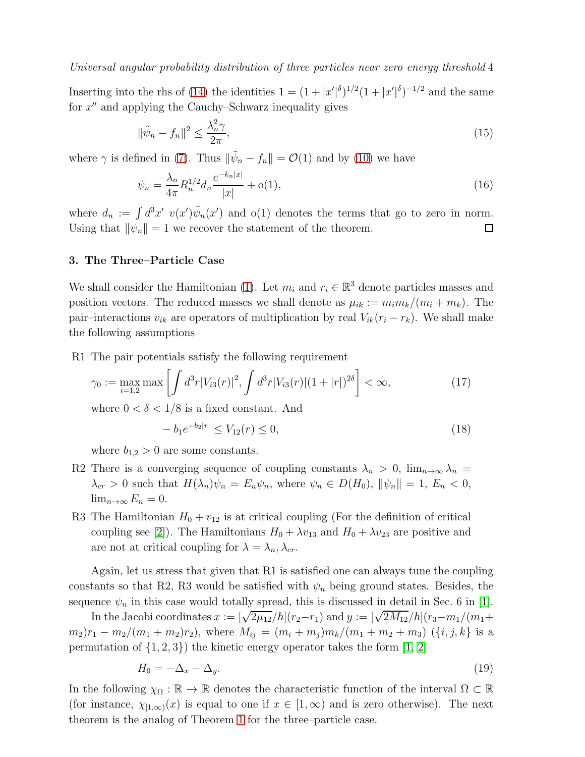Inserting into the rhs of [\(14\)](#page-2-3) the identities  $1 = (1 + |x'|^{\delta})^{1/2} (1 + |x'|^{\delta})^{-1/2}$  and the same for  $x''$  and applying the Cauchy–Schwarz inequality gives

$$
\|\tilde{\psi}_n - f_n\|^2 \le \frac{\lambda_n^2 \gamma}{2\pi},\tag{15}
$$

where  $\gamma$  is defined in [\(7\)](#page-1-1). Thus  $\|\tilde{\psi}_n - f_n\| = \mathcal{O}(1)$  and by [\(10\)](#page-2-4) we have

$$
\psi_n = \frac{\lambda_n}{4\pi} R_n^{1/2} d_n \frac{e^{-k_n|x|}}{|x|} + o(1),\tag{16}
$$

where  $d_n := \int d^3x' \ v(x')\tilde{\psi}_n(x')$  and  $o(1)$  denotes the terms that go to zero in norm. Using that  $\|\psi_n\| = 1$  we recover the statement of the theorem.  $\Box$ 

#### <span id="page-3-0"></span>3. The Three–Particle Case

We shall consider the Hamiltonian [\(1\)](#page-0-0). Let  $m_i$  and  $r_i \in \mathbb{R}^3$  denote particles masses and position vectors. The reduced masses we shall denote as  $\mu_{ik} := m_i m_k/(m_i + m_k)$ . The pair–interactions  $v_{ik}$  are operators of multiplication by real  $V_{ik}(r_i - r_k)$ . We shall make the following assumptions

R1 The pair potentials satisfy the following requirement

$$
\gamma_0 := \max_{i=1,2} \max \left[ \int d^3 r |V_{i3}(r)|^2, \int d^3 r |V_{i3}(r)| (1+|r|)^{2\delta} \right] < \infty,\tag{17}
$$

where  $0 < \delta < 1/8$  is a fixed constant. And

<span id="page-3-1"></span>
$$
-b_1 e^{-b_2|r|} \le V_{12}(r) \le 0,
$$
\n(18)

where  $b_{1,2} > 0$  are some constants.

- R2 There is a converging sequence of coupling constants  $\lambda_n > 0$ ,  $\lim_{n\to\infty} \lambda_n =$  $\lambda_{cr} > 0$  such that  $H(\lambda_n)\psi_n = E_n\psi_n$ , where  $\psi_n \in D(H_0)$ ,  $\|\psi_n\| = 1$ ,  $E_n < 0$ ,  $\lim_{n\to\infty} E_n = 0.$
- R3 The Hamiltonian  $H_0 + v_{12}$  is at critical coupling (For the definition of critical coupling see [\[2\]](#page-16-1)). The Hamiltonians  $H_0 + \lambda v_{13}$  and  $H_0 + \lambda v_{23}$  are positive and are not at critical coupling for  $\lambda = \lambda_n, \lambda_{cr}$ .

Again, let us stress that given that R1 is satisfied one can always tune the coupling constants so that R2, R3 would be satisfied with  $\psi_n$  being ground states. Besides, the sequence  $\psi_n$  in this case would totally spread, this is discussed in detail in Sec. 6 in [\[1\]](#page-16-0).

In the Jacobi coordinates  $x := [\sqrt{2\mu_{12}}/\hbar](r_2-r_1)$  and  $y := [\sqrt{2M_{12}}/\hbar](r_3-m_1/(m_1+1))$  $(m_2)r_1 - m_2/(m_1 + m_2)r_2$ , where  $M_{ij} = (m_i + m_j)m_k/(m_1 + m_2 + m_3)$   $({i, j, k})$  is a permutation of  $\{1, 2, 3\}$  the kinetic energy operator takes the form [\[1,](#page-16-0) [2\]](#page-16-1)

$$
H_0 = -\Delta_x - \Delta_y. \tag{19}
$$

In the following  $\chi_{\Omega} : \mathbb{R} \to \mathbb{R}$  denotes the characteristic function of the interval  $\Omega \subset \mathbb{R}$ (for instance,  $\chi_{[1,\infty)}(x)$  is equal to one if  $x \in [1,\infty)$  and is zero otherwise). The next theorem is the analog of Theorem [1](#page-2-1) for the three–particle case.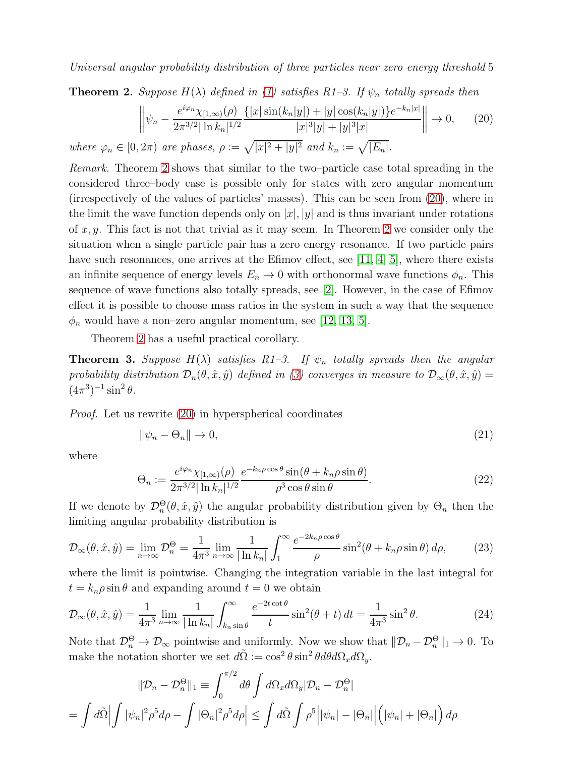<span id="page-4-1"></span>**Theorem 2.** Suppose  $H(\lambda)$  defined in [\(1\)](#page-0-0) satisfies R1-3. If  $\psi_n$  totally spreads then

<span id="page-4-2"></span>
$$
\left\| \psi_n - \frac{e^{i\varphi_n} \chi_{[1,\infty)}(\rho)}{2\pi^{3/2} |\ln k_n|^{1/2}} \frac{\{|x| \sin(k_n|y|) + |y| \cos(k_n|y|)\} e^{-k_n|x|}}{|x|^3 |y| + |y|^3 |x|} \right\| \to 0, \qquad (20)
$$

where  $\varphi_n \in [0, 2\pi)$  are phases,  $\rho := \sqrt{|x|^2 + |y|^2}$  and  $k_n := \sqrt{|E_n|}$ .

Remark. Theorem [2](#page-4-1) shows that similar to the two–particle case total spreading in the considered three–body case is possible only for states with zero angular momentum (irrespectively of the values of particles' masses). This can be seen from [\(20\)](#page-4-2), where in the limit the wave function depends only on  $|x|, |y|$  and is thus invariant under rotations of  $x, y$ . This fact is not that trivial as it may seem. In Theorem [2](#page-4-1) we consider only the situation when a single particle pair has a zero energy resonance. If two particle pairs have such resonances, one arrives at the Efimov effect, see [\[11,](#page-16-11) [4,](#page-16-3) [5\]](#page-16-4), where there exists an infinite sequence of energy levels  $E_n \to 0$  with orthonormal wave functions  $\phi_n$ . This sequence of wave functions also totally spreads, see [\[2\]](#page-16-1). However, in the case of Efimov effect it is possible to choose mass ratios in the system in such a way that the sequence  $\phi_n$  would have a non–zero angular momentum, see [\[12,](#page-16-12) [13,](#page-16-13) [5\]](#page-16-4).

Theorem [2](#page-4-1) has a useful practical corollary.

<span id="page-4-0"></span>**Theorem 3.** Suppose  $H(\lambda)$  satisfies R1-3. If  $\psi_n$  totally spreads then the angular probability distribution  $\mathcal{D}_n(\theta, \hat{x}, \hat{y})$  defined in [\(3\)](#page-1-2) converges in measure to  $\mathcal{D}_{\infty}(\theta, \hat{x}, \hat{y}) =$  $(4\pi^3)^{-1} \sin^2 \theta$ .

Proof. Let us rewrite [\(20\)](#page-4-2) in hyperspherical coordinates

$$
\|\psi_n - \Theta_n\| \to 0,\tag{21}
$$

where

<span id="page-4-4"></span>
$$
\Theta_n := \frac{e^{i\varphi_n}\chi_{[1,\infty)}(\rho)}{2\pi^{3/2}|\ln k_n|^{1/2}} \frac{e^{-k_n\rho\cos\theta}\sin(\theta + k_n\rho\sin\theta)}{\rho^3\cos\theta\sin\theta}.
$$
\n(22)

If we denote by  $\mathcal{D}_n^{\Theta}(\theta, \hat{x}, \hat{y})$  the angular probability distribution given by  $\Theta_n$  then the limiting angular probability distribution is

$$
\mathcal{D}_{\infty}(\theta, \hat{x}, \hat{y}) = \lim_{n \to \infty} \mathcal{D}_n^{\Theta} = \frac{1}{4\pi^3} \lim_{n \to \infty} \frac{1}{|\ln k_n|} \int_1^{\infty} \frac{e^{-2k_n \rho \cos \theta}}{\rho} \sin^2(\theta + k_n \rho \sin \theta) d\rho, \tag{23}
$$

where the limit is pointwise. Changing the integration variable in the last integral for  $t = k_n \rho \sin \theta$  and expanding around  $t = 0$  we obtain

$$
\mathcal{D}_{\infty}(\theta, \hat{x}, \hat{y}) = \frac{1}{4\pi^3} \lim_{n \to \infty} \frac{1}{|\ln k_n|} \int_{k_n \sin \theta}^{\infty} \frac{e^{-2t \cot \theta}}{t} \sin^2(\theta + t) dt = \frac{1}{4\pi^3} \sin^2 \theta.
$$
 (24)

Note that  $\mathcal{D}_n^{\Theta} \to \mathcal{D}_{\infty}$  pointwise and uniformly. Now we show that  $\|\mathcal{D}_n - \mathcal{D}_n^{\Theta}\|_1 \to 0$ . To make the notation shorter we set  $d\tilde{\Omega} := \cos^2 \theta \sin^2 \theta d\theta d\Omega_x d\Omega_y$ .

<span id="page-4-3"></span>
$$
\|\mathcal{D}_n - \mathcal{D}_n^{\Theta}\|_1 \equiv \int_0^{\pi/2} d\theta \int d\Omega_x d\Omega_y |\mathcal{D}_n - \mathcal{D}_n^{\Theta}|
$$
  
= 
$$
\int d\tilde{\Omega} \left| \int |\psi_n|^2 \rho^5 d\rho - \int |\Theta_n|^2 \rho^5 d\rho \right| \le \int d\tilde{\Omega} \int \rho^5 \left| |\psi_n| - |\Theta_n| \right| \left( |\psi_n| + |\Theta_n| \right) d\rho
$$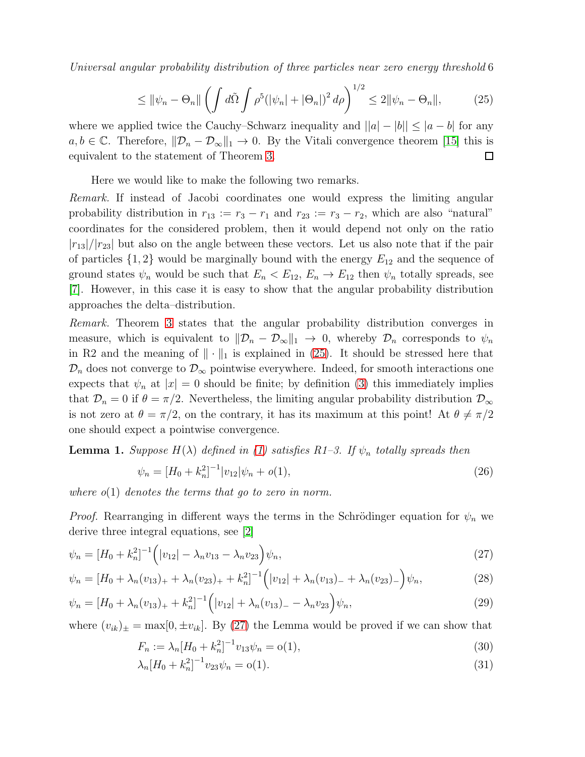$$
\leq \|\psi_n - \Theta_n\| \left( \int d\tilde{\Omega} \int \rho^5 (|\psi_n| + |\Theta_n|)^2 d\rho \right)^{1/2} \leq 2 \|\psi_n - \Theta_n\|,\tag{25}
$$

where we applied twice the Cauchy–Schwarz inequality and  $||a|-|b|| \leq |a-b|$  for any  $a, b \in \mathbb{C}$ . Therefore,  $\|\mathcal{D}_n - \mathcal{D}_{\infty}\|_1 \to 0$ . By the Vitali convergence theorem [\[15\]](#page-16-14) this is equivalent to the statement of Theorem [3.](#page-4-0)  $\Box$ 

Here we would like to make the following two remarks.

Remark. If instead of Jacobi coordinates one would express the limiting angular probability distribution in  $r_{13} := r_3 - r_1$  and  $r_{23} := r_3 - r_2$ , which are also "natural" coordinates for the considered problem, then it would depend not only on the ratio  $|r_{13}|/|r_{23}|$  but also on the angle between these vectors. Let us also note that if the pair of particles  $\{1,2\}$  would be marginally bound with the energy  $E_{12}$  and the sequence of ground states  $\psi_n$  would be such that  $E_n \langle E_{12}, E_n \rangle E_{12}$  then  $\psi_n$  totally spreads, see [\[7\]](#page-16-6). However, in this case it is easy to show that the angular probability distribution approaches the delta–distribution.

Remark. Theorem [3](#page-4-0) states that the angular probability distribution converges in measure, which is equivalent to  $\|\mathcal{D}_n - \mathcal{D}_{\infty}\|_1 \to 0$ , whereby  $\mathcal{D}_n$  corresponds to  $\psi_n$ in R2 and the meaning of  $\|\cdot\|_1$  is explained in [\(25\)](#page-4-3). It should be stressed here that  $\mathcal{D}_n$  does not converge to  $\mathcal{D}_{\infty}$  pointwise everywhere. Indeed, for smooth interactions one expects that  $\psi_n$  at  $|x| = 0$  should be finite; by definition [\(3\)](#page-1-2) this immediately implies that  $\mathcal{D}_n = 0$  if  $\theta = \pi/2$ . Nevertheless, the limiting angular probability distribution  $\mathcal{D}_{\infty}$ is not zero at  $\theta = \pi/2$ , on the contrary, it has its maximum at this point! At  $\theta \neq \pi/2$ one should expect a pointwise convergence.

<span id="page-5-2"></span>**Lemma 1.** Suppose  $H(\lambda)$  defined in [\(1\)](#page-0-0) satisfies R1-3. If  $\psi_n$  totally spreads then

$$
\psi_n = [H_0 + k_n^2]^{-1} |v_{12}| \psi_n + o(1), \tag{26}
$$

where  $o(1)$  denotes the terms that go to zero in norm.

*Proof.* Rearranging in different ways the terms in the Schrödinger equation for  $\psi_n$  we derive three integral equations, see [\[2\]](#page-16-1)

<span id="page-5-0"></span>
$$
\psi_n = [H_0 + k_n^2]^{-1} \left( |v_{12}| - \lambda_n v_{13} - \lambda_n v_{23} \right) \psi_n,\tag{27}
$$

$$
\psi_n = \left[ H_0 + \lambda_n (v_{13})_+ + \lambda_n (v_{23})_+ + k_n^2 \right]^{-1} \left( |v_{12}| + \lambda_n (v_{13})_- + \lambda_n (v_{23})_- \right) \psi_n,\tag{28}
$$

$$
\psi_n = \left[ H_0 + \lambda_n (v_{13})_+ + k_n^2 \right]^{-1} \left( |v_{12}| + \lambda_n (v_{13})_- - \lambda_n v_{23} \right) \psi_n,\tag{29}
$$

where  $(v_{ik})_{\pm} = \max[0, \pm v_{ik}]$ . By [\(27\)](#page-5-0) the Lemma would be proved if we can show that

<span id="page-5-1"></span>
$$
F_n := \lambda_n [H_0 + k_n^2]^{-1} v_{13} \psi_n = o(1), \tag{30}
$$

$$
\lambda_n [H_0 + k_n^2]^{-1} v_{23} \psi_n = o(1). \tag{31}
$$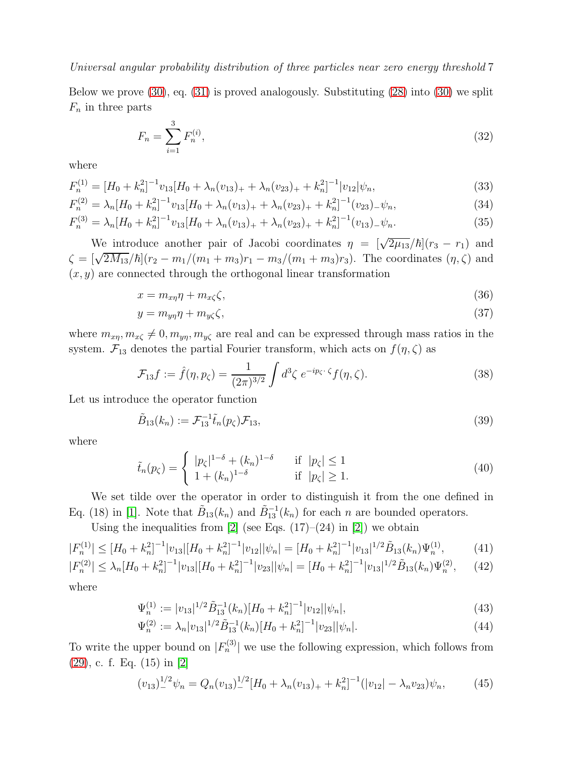Below we prove [\(30\)](#page-5-1), eq. [\(31\)](#page-5-1) is proved analogously. Substituting [\(28\)](#page-5-0) into [\(30\)](#page-5-1) we split  $F_n$  in three parts

<span id="page-6-5"></span><span id="page-6-1"></span>
$$
F_n = \sum_{i=1}^{3} F_n^{(i)},\tag{32}
$$

where

$$
F_n^{(1)} = [H_0 + k_n^2]^{-1} v_{13} [H_0 + \lambda_n (v_{13})_+ + \lambda_n (v_{23})_+ + k_n^2]^{-1} |v_{12}| \psi_n,
$$
\n(33)

$$
F_n^{(2)} = \lambda_n [H_0 + k_n^2]^{-1} v_{13} [H_0 + \lambda_n (v_{13})_+ + \lambda_n (v_{23})_+ + k_n^2]^{-1} (v_{23})_- \psi_n,
$$
\n(34)

$$
F_n^{(3)} = \lambda_n [H_0 + k_n^2]^{-1} v_{13} [H_0 + \lambda_n (v_{13})_+ + \lambda_n (v_{23})_+ + k_n^2]^{-1} (v_{13})_- \psi_n.
$$
 (35)

We introduce another pair of Jacobi coordinates  $\eta = [\sqrt{2\mu_{13}}/\hbar](r_3 - r_1)$  and  $\zeta = [\sqrt{2M_{13}}/\hbar](r_2 - m_1/(m_1 + m_3)r_1 - m_3/(m_1 + m_3)r_3)$ . The coordinates  $(\eta, \zeta)$  and  $(x, y)$  are connected through the orthogonal linear transformation

$$
x = m_{x\eta}\eta + m_{x\zeta}\zeta,\tag{36}
$$

$$
y = m_{y\eta}\eta + m_{y\zeta}\zeta,\tag{37}
$$

where  $m_{x\eta}, m_{x\zeta} \neq 0, m_{y\eta}, m_{y\zeta}$  are real and can be expressed through mass ratios in the system.  $\mathcal{F}_{13}$  denotes the partial Fourier transform, which acts on  $f(\eta, \zeta)$  as

<span id="page-6-6"></span>
$$
\mathcal{F}_{13}f := \hat{f}(\eta, p_{\zeta}) = \frac{1}{(2\pi)^{3/2}} \int d^3\zeta \ e^{-ip_{\zeta} \cdot \zeta} f(\eta, \zeta). \tag{38}
$$

Let us introduce the operator function

$$
\tilde{B}_{13}(k_n) := \mathcal{F}_{13}^{-1} \tilde{t}_n(p_\zeta) \mathcal{F}_{13},\tag{39}
$$

where

<span id="page-6-3"></span>
$$
\tilde{t}_n(p_\zeta) = \begin{cases}\n|p_\zeta|^{1-\delta} + (k_n)^{1-\delta} & \text{if } |p_\zeta| \le 1 \\
1 + (k_n)^{1-\delta} & \text{if } |p_\zeta| \ge 1.\n\end{cases}
$$
\n(40)

We set tilde over the operator in order to distinguish it from the one defined in Eq. (18) in [\[1\]](#page-16-0). Note that  $\tilde{B}_{13}(k_n)$  and  $\tilde{B}_{13}^{-1}(k_n)$  for each n are bounded operators.

<span id="page-6-2"></span>Using the inequalities from  $[2]$  (see Eqs.  $(17)-(24)$  in  $[2]$ ) we obtain

$$
|F_n^{(1)}| \leq [H_0 + k_n^2]^{-1} |v_{13}| [H_0 + k_n^2]^{-1} |v_{12}| |\psi_n| = [H_0 + k_n^2]^{-1} |v_{13}|^{1/2} \tilde{B}_{13}(k_n) \Psi_n^{(1)},
$$
(41)

$$
|F_n^{(2)}| \le \lambda_n [H_0 + k_n^2]^{-1} |v_{13}| [H_0 + k_n^2]^{-1} |v_{23}| |\psi_n| = [H_0 + k_n^2]^{-1} |v_{13}|^{1/2} \tilde{B}_{13}(k_n) \Psi_n^{(2)}, \tag{42}
$$

where

<span id="page-6-4"></span>
$$
\Psi_n^{(1)} := |v_{13}|^{1/2} \tilde{B}_{13}^{-1}(k_n) [H_0 + k_n^2]^{-1} |v_{12}| |\psi_n|,
$$
\n(43)

$$
\Psi_n^{(2)} := \lambda_n |v_{13}|^{1/2} \tilde{B}_{13}^{-1}(k_n) [H_0 + k_n^2]^{-1} |v_{23}| |\psi_n|.
$$
\n(44)

To write the upper bound on  $|F_n^{(3)}|$  we use the following expression, which follows from [\(29\)](#page-5-0), c. f. Eq. (15) in [\[2\]](#page-16-1)

<span id="page-6-0"></span>
$$
(v_{13})_{-}^{1/2}\psi_n = Q_n(v_{13})_{-}^{1/2}[H_0 + \lambda_n(v_{13})_+ + k_n^2]^{-1}(|v_{12}| - \lambda_n v_{23})\psi_n, \tag{45}
$$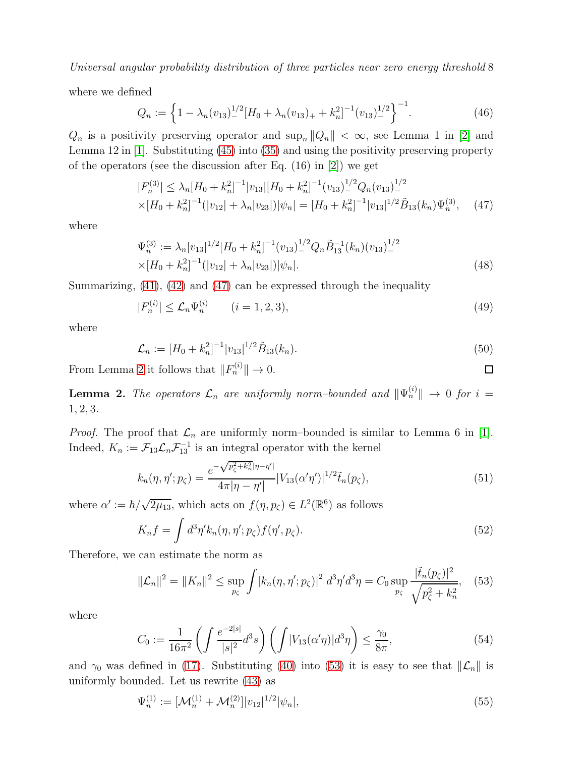where we defined

$$
Q_n := \left\{ 1 - \lambda_n (v_{13})_-^{1/2} \left[ H_0 + \lambda_n (v_{13})_+ + k_n^2 \right]^{-1} (v_{13})_-^{1/2} \right\}^{-1}.
$$
 (46)

 $Q_n$  is a positivity preserving operator and  $\sup_n ||Q_n|| < \infty$ , see Lemma 1 in [\[2\]](#page-16-1) and Lemma 12 in [\[1\]](#page-16-0). Substituting [\(45\)](#page-6-0) into [\(35\)](#page-6-1) and using the positivity preserving property of the operators (see the discussion after Eq. (16) in [\[2\]](#page-16-1)) we get

<span id="page-7-0"></span>
$$
|F_n^{(3)}| \le \lambda_n [H_0 + k_n^2]^{-1} |v_{13}| [H_0 + k_n^2]^{-1} (v_{13})^{-1/2}_{-} Q_n (v_{13})^{-1/2}_{-} \times [H_0 + k_n^2]^{-1} (|v_{12}| + \lambda_n |v_{23}|) |\psi_n| = [H_0 + k_n^2]^{-1} |v_{13}|^{1/2} \tilde{B}_{13}(k_n) \Psi_n^{(3)}, \quad (47)
$$

where

<span id="page-7-3"></span>
$$
\Psi_n^{(3)} := \lambda_n |v_{13}|^{1/2} [H_0 + k_n^2]^{-1} (v_{13})_-^{1/2} Q_n \tilde{B}_{13}^{-1} (k_n) (v_{13})_-^{1/2}
$$
  
 
$$
\times [H_0 + k_n^2]^{-1} (|v_{12}| + \lambda_n |v_{23}|) |\psi_n|.
$$
 (48)

Summarizing,  $(41)$ ,  $(42)$  and  $(47)$  can be expressed through the inequality

<span id="page-7-4"></span>
$$
|F_n^{(i)}| \le \mathcal{L}_n \Psi_n^{(i)} \qquad (i = 1, 2, 3), \tag{49}
$$

where

<span id="page-7-5"></span>
$$
\mathcal{L}_n := [H_0 + k_n^2]^{-1} |v_{13}|^{1/2} \tilde{B}_{13}(k_n). \tag{50}
$$

 $\Box$ 

From Lemma [2](#page-7-1) it follows that  $||F_n^{(i)}|| \to 0$ .

<span id="page-7-1"></span>**Lemma 2.** The operators  $\mathcal{L}_n$  are uniformly norm-bounded and  $\|\Psi_n^{(i)}\| \to 0$  for  $i =$ 1, 2, 3.

*Proof.* The proof that  $\mathcal{L}_n$  are uniformly norm–bounded is similar to Lemma 6 in [\[1\]](#page-16-0). Indeed,  $K_n := \mathcal{F}_{13} \mathcal{L}_n \mathcal{F}_{13}^{-1}$  is an integral operator with the kernel

$$
k_n(\eta, \eta'; p_\zeta) = \frac{e^{-\sqrt{p_\zeta^2 + k_n^2} |\eta - \eta'|}}{4\pi |\eta - \eta'|} |V_{13}(\alpha'\eta')|^{1/2} \tilde{t}_n(p_\zeta), \tag{51}
$$

where  $\alpha' := \hbar / \sqrt{2\mu_{13}}$ , which acts on  $f(\eta, p_\zeta) \in L^2(\mathbb{R}^6)$  as follows

$$
K_n f = \int d^3 \eta' k_n(\eta, \eta'; p_\zeta) f(\eta', p_\zeta). \tag{52}
$$

Therefore, we can estimate the norm as

<span id="page-7-2"></span>
$$
\|\mathcal{L}_n\|^2 = \|K_n\|^2 \le \sup_{p_\zeta} \int |k_n(\eta, \eta'; p_\zeta)|^2 \, d^3\eta' d^3\eta = C_0 \sup_{p_\zeta} \frac{|\tilde{t}_n(p_\zeta)|^2}{\sqrt{p_\zeta^2 + k_n^2}}, \quad (53)
$$

where

$$
C_0 := \frac{1}{16\pi^2} \left( \int \frac{e^{-2|s|}}{|s|^2} d^3s \right) \left( \int |V_{13}(\alpha'\eta)| d^3\eta \right) \le \frac{\gamma_0}{8\pi},\tag{54}
$$

and  $\gamma_0$  was defined in [\(17\)](#page-3-1). Substituting [\(40\)](#page-6-3) into [\(53\)](#page-7-2) it is easy to see that  $\|\mathcal{L}_n\|$  is uniformly bounded. Let us rewrite [\(43\)](#page-6-4) as

$$
\Psi_n^{(1)} := [\mathcal{M}_n^{(1)} + \mathcal{M}_n^{(2)}] |v_{12}|^{1/2} |\psi_n|,\tag{55}
$$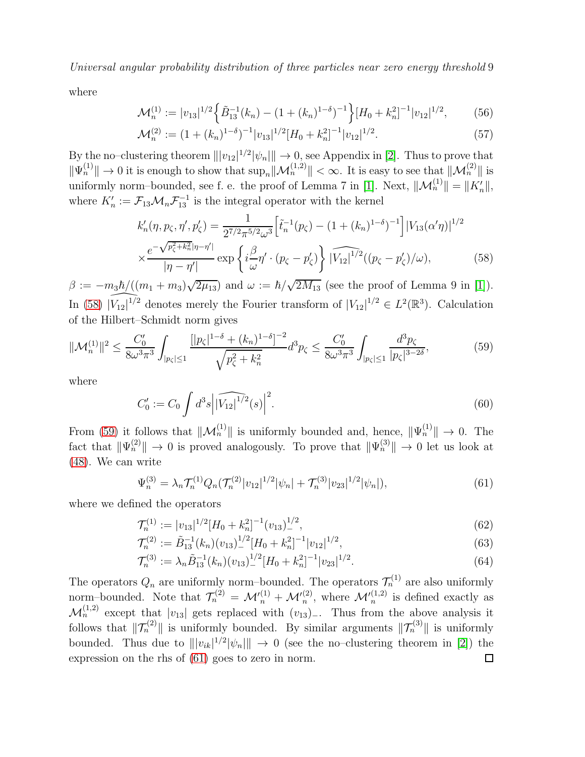where

$$
\mathcal{M}_n^{(1)} := |v_{13}|^{1/2} \left\{ \tilde{B}_{13}^{-1}(k_n) - (1 + (k_n)^{1-\delta})^{-1} \right\} [H_0 + k_n^2]^{-1} |v_{12}|^{1/2},\tag{56}
$$

$$
\mathcal{M}_n^{(2)} := (1 + (k_n)^{1-\delta})^{-1} |v_{13}|^{1/2} [H_0 + k_n^2]^{-1} |v_{12}|^{1/2}.
$$
\n(57)

By the no–clustering theorem  $|||v_{12}|^{1/2}|\psi_n||| \to 0$ , see Appendix in [\[2\]](#page-16-1). Thus to prove that  $\|\Psi_n^{(1)}\| \to 0$  it is enough to show that  $\sup_n \|\mathcal{M}_n^{(1,2)}\| < \infty$ . It is easy to see that  $\|\mathcal{M}_n^{(2)}\|$  is uniformly norm–bounded, see f. e. the proof of Lemma 7 in [\[1\]](#page-16-0). Next,  $\|\mathcal{M}_n^{(1)}\| = \|K'_n\|$ , where  $K'_n := \mathcal{F}_{13} \mathcal{M}_n \mathcal{F}_{13}^{-1}$  is the integral operator with the kernel

<span id="page-8-0"></span>
$$
k'_{n}(\eta, p_{\zeta}, \eta', p'_{\zeta}) = \frac{1}{2^{7/2} \pi^{5/2} \omega^{3}} \left[ \tilde{t}_{n}^{-1}(p_{\zeta}) - (1 + (k_{n})^{1-\delta})^{-1} \right] |V_{13}(\alpha' \eta)|^{1/2}
$$
  
 
$$
\times \frac{e^{-\sqrt{p_{\zeta}^{2} + k_{n}^{2}} |\eta - \eta'|}}{|\eta - \eta'|} \exp \left\{ i \frac{\beta}{\omega} \eta' \cdot (p_{\zeta} - p'_{\zeta}) \right\} \widehat{|V_{12}|^{1/2}}((p_{\zeta} - p'_{\zeta})/\omega), \tag{58}
$$

 $\beta := -m_3\hbar/((m_1+m_3)\sqrt{2\mu_{13}})$  and  $\omega := \hbar/\sqrt{2M_{13}}$  (see the proof of Lemma 9 in [\[1\]](#page-16-0)). In [\(58\)](#page-8-0)  $\widehat{|V_{12}|^{1/2}}$  denotes merely the Fourier transform of  $|V_{12}|^{1/2} \in L^2(\mathbb{R}^3)$ . Calculation of the Hilbert–Schmidt norm gives

$$
\|\mathcal{M}_n^{(1)}\|^2 \le \frac{C_0'}{8\omega^3 \pi^3} \int_{|p_\zeta| \le 1} \frac{\left[|p_\zeta|^{1-\delta} + (k_n)^{1-\delta}\right]^{-2}}{\sqrt{p_\zeta^2 + k_n^2}} d^3 p_\zeta \le \frac{C_0'}{8\omega^3 \pi^3} \int_{|p_\zeta| \le 1} \frac{d^3 p_\zeta}{|p_\zeta|^{3-2\delta}},\tag{59}
$$

where

<span id="page-8-1"></span>
$$
C_0' := C_0 \int d^3s \left| \widehat{|V_{12}|^{1/2}}(s) \right|^2.
$$
 (60)

From [\(59\)](#page-8-1) it follows that  $\|\mathcal{M}_n^{(1)}\|$  is uniformly bounded and, hence,  $\|\Psi_n^{(1)}\| \to 0$ . The fact that  $\|\Psi_n^{(2)}\| \to 0$  is proved analogously. To prove that  $\|\Psi_n^{(3)}\| \to 0$  let us look at [\(48\)](#page-7-3). We can write

<span id="page-8-2"></span>
$$
\Psi_n^{(3)} = \lambda_n \mathcal{T}_n^{(1)} Q_n(\mathcal{T}_n^{(2)} |v_{12}|^{1/2} |\psi_n| + \mathcal{T}_n^{(3)} |v_{23}|^{1/2} |\psi_n|), \tag{61}
$$

where we defined the operators

$$
\mathcal{T}_n^{(1)} := |v_{13}|^{1/2} [H_0 + k_n^2]^{-1} (v_{13})^{1/2}, \tag{62}
$$

$$
\mathcal{T}_n^{(2)} := \tilde{B}_{13}^{-1}(k_n)(v_{13})^{1/2} [H_0 + k_n^2]^{-1} |v_{12}|^{1/2},\tag{63}
$$

$$
\mathcal{T}_n^{(3)} := \lambda_n \tilde{B}_{13}^{-1}(k_n)(v_{13})_{-}^{1/2} [H_0 + k_n^2]^{-1} |v_{23}|^{1/2}.
$$
\n(64)

The operators  $Q_n$  are uniformly norm-bounded. The operators  $\mathcal{T}_n^{(1)}$  are also uniformly norm–bounded. Note that  $\mathcal{T}_n^{(2)} = \mathcal{M}_n'^{(1)} + \mathcal{M}_n'^{(2)}$ , where  $\mathcal{M}_n'^{(1,2)}$  is defined exactly as  $\mathcal{M}_n^{(1,2)}$  except that  $|v_{13}|$  gets replaced with  $(v_{13})$ . Thus from the above analysis it follows that  $\|\mathcal{T}^{(2)}_n\|$  is uniformly bounded. By similar arguments  $\|\mathcal{T}^{(3)}_n\|$  is uniformly bounded. Thus due to  $||v_{ik}|^{1/2}|\psi_n|| \to 0$  (see the no-clustering theorem in [\[2\]](#page-16-1)) the expression on the rhs of [\(61\)](#page-8-2) goes to zero in norm. $\Box$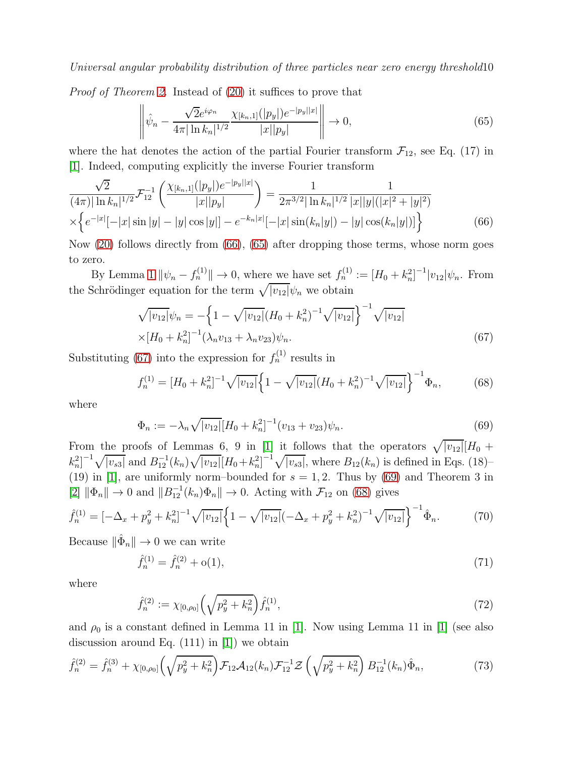Proof of Theorem [2.](#page-4-1) Instead of [\(20\)](#page-4-2) it suffices to prove that

<span id="page-9-1"></span>
$$
\left\| \hat{\psi}_n - \frac{\sqrt{2}e^{i\varphi_n}}{4\pi |\ln k_n|^{1/2}} \frac{\chi_{[k_n,1]}(|p_y|)e^{-|p_y||x|}}{|x||p_y|} \right\| \to 0,
$$
\n(65)

where the hat denotes the action of the partial Fourier transform  $\mathcal{F}_{12}$ , see Eq. (17) in [\[1\]](#page-16-0). Indeed, computing explicitly the inverse Fourier transform

<span id="page-9-0"></span>
$$
\frac{\sqrt{2}}{(4\pi)|\ln k_n|^{1/2}} \mathcal{F}_{12}^{-1} \left( \frac{\chi_{[k_n,1]}(|p_y|)e^{-|p_y||x|}}{|x||p_y|} \right) = \frac{1}{2\pi^{3/2}|\ln k_n|^{1/2}} \frac{1}{|x||y|(|x|^2 + |y|^2)}
$$

$$
\times \left\{ e^{-|x|}[-|x|\sin|y| - |y|\cos|y|] - e^{-k_n|x|}[-|x|\sin(k_n|y|) - |y|\cos(k_n|y|)] \right\}
$$
(66)

Now [\(20\)](#page-4-2) follows directly from [\(66\)](#page-9-0), [\(65\)](#page-9-1) after dropping those terms, whose norm goes to zero.

By Lemma [1](#page-5-2)  $\|\psi_n - f_n^{(1)}\| \to 0$ , where we have set  $f_n^{(1)} := [H_0 + k_n^2]^{-1} |v_{12}| \psi_n$ . From the Schrödinger equation for the term  $\sqrt{|v_{12}|}\psi_n$  we obtain

<span id="page-9-2"></span>
$$
\sqrt{|v_{12}|}\psi_n = -\left\{1 - \sqrt{|v_{12}|}(H_0 + k_n^2)^{-1}\sqrt{|v_{12}|}\right\}^{-1} \sqrt{|v_{12}|} \times [H_0 + k_n^2]^{-1} (\lambda_n v_{13} + \lambda_n v_{23})\psi_n.
$$
\n(67)

Substituting [\(67\)](#page-9-2) into the expression for  $f_n^{(1)}$  results in

<span id="page-9-4"></span>
$$
f_n^{(1)} = [H_0 + k_n^2]^{-1} \sqrt{|v_{12}|} \Big\{ 1 - \sqrt{|v_{12}|} (H_0 + k_n^2)^{-1} \sqrt{|v_{12}|} \Big\}^{-1} \Phi_n,\tag{68}
$$

where

<span id="page-9-3"></span>
$$
\Phi_n := -\lambda_n \sqrt{|v_{12}|} [H_0 + k_n^2]^{-1} (v_{13} + v_{23}) \psi_n.
$$
\n(69)

From the proofs of Lemmas 6, 9 in [\[1\]](#page-16-0) it follows that the operators  $\sqrt{|v_{12}|} [H_0 +$  $k_n^2$ ]<sup>-1</sup> $\sqrt{|v_{s3}|}$  and  $B_{12}^{-1}(k_n)\sqrt{|v_{12}|}[H_0+k_n^2]^{-1}\sqrt{|v_{s3}|}$ , where  $B_{12}(k_n)$  is defined in Eqs. (18)-(19) in [\[1\]](#page-16-0), are uniformly norm–bounded for  $s = 1, 2$ . Thus by [\(69\)](#page-9-3) and Theorem 3 in  $[2] \|\Phi_n\| \to 0$  $[2] \|\Phi_n\| \to 0$  and  $\|B_{12}^{-1}(k_n)\Phi_n\| \to 0$ . Acting with  $\mathcal{F}_{12}$  on [\(68\)](#page-9-4) gives

$$
\hat{f}_n^{(1)} = \left[ -\Delta_x + p_y^2 + k_n^2 \right]^{-1} \sqrt{|v_{12}|} \left\{ 1 - \sqrt{|v_{12}|} \left( -\Delta_x + p_y^2 + k_n^2 \right)^{-1} \sqrt{|v_{12}|} \right\}^{-1} \hat{\Phi}_n. \tag{70}
$$

Because  $\|\hat{\Phi}_n\| \to 0$  we can write

$$
\hat{f}_n^{(1)} = \hat{f}_n^{(2)} + o(1),\tag{71}
$$

where

$$
\hat{f}_n^{(2)} := \chi_{[0,\rho_0]} \left( \sqrt{p_y^2 + k_n^2} \right) \hat{f}_n^{(1)},\tag{72}
$$

and  $\rho_0$  is a constant defined in Lemma 11 in [\[1\]](#page-16-0). Now using Lemma 11 in [1] (see also discussion around Eq.  $(111)$  in [\[1\]](#page-16-0)) we obtain

$$
\hat{f}_n^{(2)} = \hat{f}_n^{(3)} + \chi_{[0,\rho_0]} \left( \sqrt{p_y^2 + k_n^2} \right) \mathcal{F}_{12} \mathcal{A}_{12}(k_n) \mathcal{F}_{12}^{-1} \mathcal{Z} \left( \sqrt{p_y^2 + k_n^2} \right) B_{12}^{-1}(k_n) \hat{\Phi}_n, \tag{73}
$$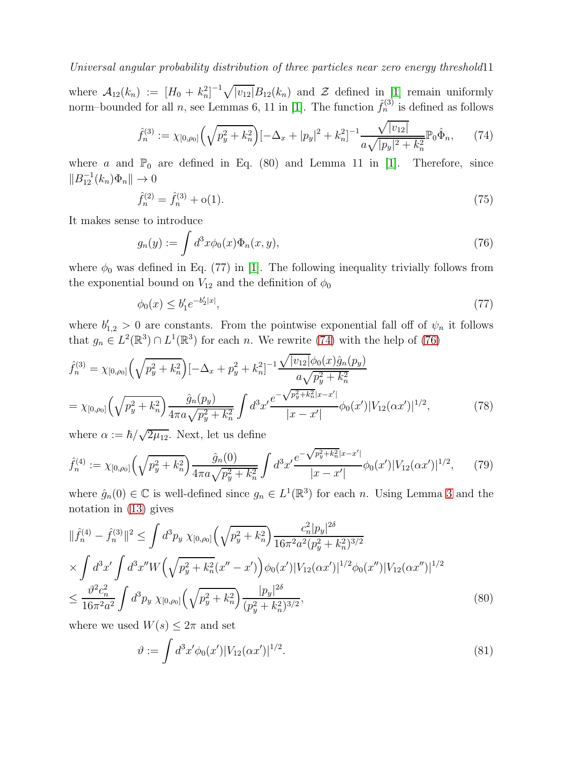where  $\mathcal{A}_{12}(k_n) := [H_0 + k_n^2]^{-1} \sqrt{|v_{12}|} B_{12}(k_n)$  and  $\mathcal{Z}$  defined in [\[1\]](#page-16-0) remain uniformly norm–bounded for all n, see Lemmas 6, 11 in [\[1\]](#page-16-0). The function  $\hat{f}_n^{(3)}$  is defined as follows

<span id="page-10-0"></span>
$$
\hat{f}_n^{(3)} := \chi_{[0,\rho_0]} \left( \sqrt{p_y^2 + k_n^2} \right) \left[ -\Delta_x + |p_y|^2 + k_n^2 \right]^{-1} \frac{\sqrt{|v_{12}|}}{a\sqrt{|p_y|^2 + k_n^2}} \mathbb{P}_0 \hat{\Phi}_n,\tag{74}
$$

where a and  $\mathbb{P}_0$  are defined in Eq. (80) and Lemma 11 in [\[1\]](#page-16-0). Therefore, since  $||B_{12}^{-1}(k_n)\Phi_n|| \to 0$ 

$$
\hat{f}_n^{(2)} = \hat{f}_n^{(3)} + o(1). \tag{75}
$$

It makes sense to introduce

<span id="page-10-1"></span>
$$
g_n(y) := \int d^3x \phi_0(x) \Phi_n(x, y), \qquad (76)
$$

where  $\phi_0$  was defined in Eq. (77) in [\[1\]](#page-16-0). The following inequality trivially follows from the exponential bound on  $V_{12}$  and the definition of  $\phi_0$ 

<span id="page-10-3"></span>
$$
\phi_0(x) \le b_1' e^{-b_2'|x|},\tag{77}
$$

where  $b'_{1,2} > 0$  are constants. From the pointwise exponential fall off of  $\psi_n$  it follows that  $g_n \in L^2(\mathbb{R}^3) \cap L^1(\mathbb{R}^3)$  for each n. We rewrite [\(74\)](#page-10-0) with the help of [\(76\)](#page-10-1)

$$
\hat{f}_n^{(3)} = \chi_{[0,\rho_0]} \left( \sqrt{p_y^2 + k_n^2} \right) \left[ -\Delta_x + p_y^2 + k_n^2 \right]^{-1} \frac{\sqrt{|v_{12}|} \phi_0(x) \hat{g}_n(p_y)}{a \sqrt{p_y^2 + k_n^2}} \n= \chi_{[0,\rho_0]} \left( \sqrt{p_y^2 + k_n^2} \right) \frac{\hat{g}_n(p_y)}{4\pi a \sqrt{p_y^2 + k_n^2}} \int d^3 x' \frac{e^{-\sqrt{p_y^2 + k_n^2}|x - x'|}}{|x - x'|} \phi_0(x') |V_{12}(\alpha x')|^{1/2},
$$
\n(78)

where  $\alpha := \hbar / \sqrt{2\mu_{12}}$ . Next, let us define

$$
\hat{f}_n^{(4)} := \chi_{[0,\rho_0]} \left( \sqrt{p_y^2 + k_n^2} \right) \frac{\hat{g}_n(0)}{4\pi a \sqrt{p_y^2 + k_n^2}} \int d^3x' \frac{e^{-\sqrt{p_y^2 + k_n^2}|x - x'|}}{|x - x'|} \phi_0(x') |V_{12}(\alpha x')|^{1/2},\tag{79}
$$

where  $\hat{g}_n(0) \in \mathbb{C}$  is well-defined since  $g_n \in L^1(\mathbb{R}^3)$  for each n. Using Lemma [3](#page-12-0) and the notation in [\(13\)](#page-2-2) gives

$$
\|\hat{f}_{n}^{(4)} - \hat{f}_{n}^{(3)}\|^{2} \leq \int d^{3}p_{y} \ \chi_{[0,\rho_{0}]} \left(\sqrt{p_{y}^{2} + k_{n}^{2}}\right) \frac{c_{n}^{2}|p_{y}|^{2\delta}}{16\pi^{2}a^{2}(p_{y}^{2} + k_{n}^{2})^{3/2}} \times \int d^{3}x' \int d^{3}x'' W \left(\sqrt{p_{y}^{2} + k_{n}^{2}}(x'' - x')\right) \phi_{0}(x') |V_{12}(\alpha x')|^{1/2} \phi_{0}(x'') |V_{12}(\alpha x'')|^{1/2} \leq \frac{\vartheta^{2}c_{n}^{2}}{16\pi^{2}a^{2}} \int d^{3}p_{y} \ \chi_{[0,\rho_{0}]} \left(\sqrt{p_{y}^{2} + k_{n}^{2}}\right) \frac{|p_{y}|^{2\delta}}{(p_{y}^{2} + k_{n}^{2})^{3/2}},
$$
\n(80)

where we used  $W(s) \leq 2\pi$  and set

<span id="page-10-2"></span>
$$
\vartheta := \int d^3x' \phi_0(x') |V_{12}(\alpha x')|^{1/2}.
$$
\n(81)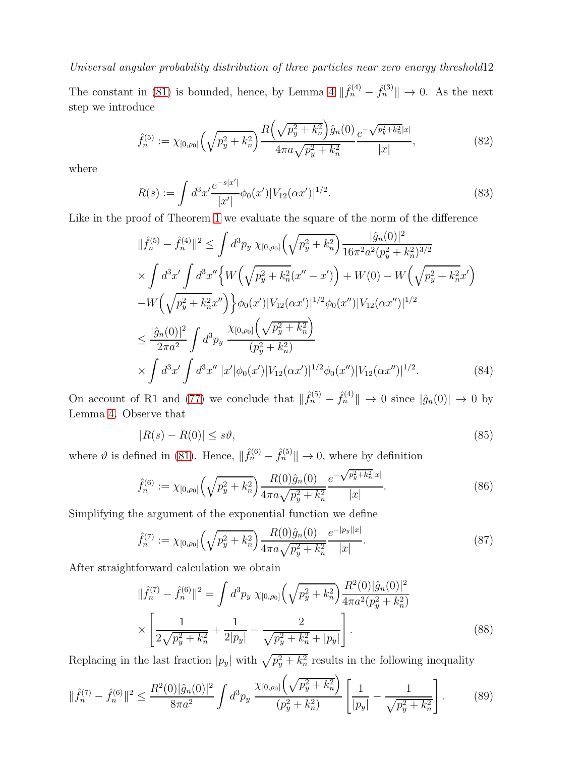The constant in [\(81\)](#page-10-2) is bounded, hence, by Lemma [4](#page-12-1)  $\|\hat{f}_n^{(4)} - \hat{f}_n^{(3)}\| \to 0$ . As the next step we introduce

$$
\hat{f}_n^{(5)} := \chi_{[0,\rho_0]} \left( \sqrt{p_y^2 + k_n^2} \right) \frac{R \left( \sqrt{p_y^2 + k_n^2} \right) \hat{g}_n(0)}{4\pi a \sqrt{p_y^2 + k_n^2}} \frac{e^{-\sqrt{p_y^2 + k_n^2}|x|}}{|x|},\tag{82}
$$

where

$$
R(s) := \int d^3x' \frac{e^{-s|x'|}}{|x'|}\phi_0(x')|V_{12}(\alpha x')|^{1/2}.
$$
\n(83)

Like in the proof of Theorem [1](#page-2-1) we evaluate the square of the norm of the difference

$$
\|\hat{f}_{n}^{(5)} - \hat{f}_{n}^{(4)}\|^{2} \leq \int d^{3}p_{y} \ \chi_{[0,\rho_{0}]} \left(\sqrt{p_{y}^{2} + k_{n}^{2}}\right) \frac{|\hat{g}_{n}(0)|^{2}}{16\pi^{2}a^{2}(p_{y}^{2} + k_{n}^{2})^{3/2}} \times \int d^{3}x' \int d^{3}x'' \left\{ W\left(\sqrt{p_{y}^{2} + k_{n}^{2}}(x'' - x')\right) + W(0) - W\left(\sqrt{p_{y}^{2} + k_{n}^{2}}x'\right) \right. \left. - W\left(\sqrt{p_{y}^{2} + k_{n}^{2}}x''\right)\right\} \phi_{0}(x') |V_{12}(\alpha x')|^{1/2} \phi_{0}(x'') |V_{12}(\alpha x'')|^{1/2} \leq \frac{|\hat{g}_{n}(0)|^{2}}{2\pi a^{2}} \int d^{3}p_{y} \ \frac{\chi_{[0,\rho_{0}]} \left(\sqrt{p_{y}^{2} + k_{n}^{2}}\right)}{(p_{y}^{2} + k_{n}^{2})} \times \int d^{3}x' \int d^{3}x'' \ |x'|\phi_{0}(x')|V_{12}(\alpha x')|^{1/2} \phi_{0}(x'') |V_{12}(\alpha x'')|^{1/2}.
$$
 (84)

On account of R1 and [\(77\)](#page-10-3) we conclude that  $\|\hat{f}_n^{(5)} - \hat{f}_n^{(4)}\| \to 0$  since  $|\hat{g}_n(0)| \to 0$  by Lemma [4.](#page-12-1) Observe that

$$
|R(s) - R(0)| \le s\vartheta,\tag{85}
$$

where  $\vartheta$  is defined in [\(81\)](#page-10-2). Hence,  $\|\hat{f}_n^{(6)} - \hat{f}_n^{(5)}\| \to 0$ , where by definition

$$
\hat{f}_n^{(6)} := \chi_{[0,\rho_0]} \left( \sqrt{p_y^2 + k_n^2} \right) \frac{R(0)\hat{g}_n(0)}{4\pi a \sqrt{p_y^2 + k_n^2}} \frac{e^{-\sqrt{p_y^2 + k_n^2}|x|}}{|x|}.
$$
\n(86)

Simplifying the argument of the exponential function we define

$$
\hat{f}_n^{(7)} := \chi_{[0,\rho_0]} \left( \sqrt{p_y^2 + k_n^2} \right) \frac{R(0)\hat{g}_n(0)}{4\pi a \sqrt{p_y^2 + k_n^2}} \frac{e^{-|p_y||x|}}{|x|}.
$$
\n(87)

After straightforward calculation we obtain

$$
\|\hat{f}_n^{(7)} - \hat{f}_n^{(6)}\|^2 = \int d^3 p_y \ \chi_{[0,\rho_0]} \left(\sqrt{p_y^2 + k_n^2} \right) \frac{R^2(0)|\hat{g}_n(0)|^2}{4\pi a^2 (p_y^2 + k_n^2)} \ \times \left[ \frac{1}{2\sqrt{p_y^2 + k_n^2}} + \frac{1}{2|p_y|} - \frac{2}{\sqrt{p_y^2 + k_n^2 + |p_y|}} \right]. \tag{88}
$$

Replacing in the last fraction  $|p_y|$  with  $\sqrt{p_y^2 + k_n^2}$  results in the following inequality

$$
\|\hat{f}_n^{(7)} - \hat{f}_n^{(6)}\|^2 \le \frac{R^2(0)|\hat{g}_n(0)|^2}{8\pi a^2} \int d^3p_y \, \frac{\chi_{[0,\rho_0]} \left(\sqrt{p_y^2 + k_n^2}\right)}{(p_y^2 + k_n^2)} \left[\frac{1}{|p_y|} - \frac{1}{\sqrt{p_y^2 + k_n^2}}\right].\tag{89}
$$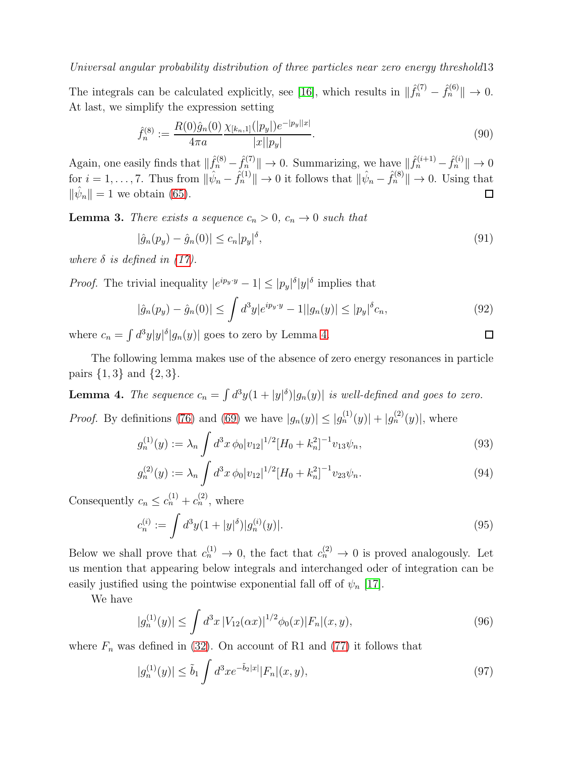The integrals can be calculated explicitly, see [\[16\]](#page-16-15), which results in  $\|\hat{f}_n^{(7)} - \hat{f}_n^{(6)}\| \to 0$ . At last, we simplify the expression setting

$$
\hat{f}_n^{(8)} := \frac{R(0)\hat{g}_n(0)}{4\pi a} \frac{\chi_{[k_n,1]}(|p_y|)e^{-|p_y||x|}}{|x||p_y|}.
$$
\n(90)

Again, one easily finds that  $\|\hat{f}_n^{(8)} - \hat{f}_n^{(7)}\| \to 0$ . Summarizing, we have  $\|\hat{f}_n^{(i+1)} - \hat{f}_n^{(i)}\| \to 0$ for  $i = 1, \ldots, 7$ . Thus from  $\|\hat{\psi}_n - \hat{f}_n^{(1)}\| \to 0$  it follows that  $\|\hat{\psi}_n - \hat{f}_n^{(8)}\| \to 0$ . Using that  $\|\hat{\psi}_n\| = 1$  we obtain [\(65\)](#page-9-1).

<span id="page-12-0"></span>**Lemma 3.** There exists a sequence  $c_n > 0$ ,  $c_n \to 0$  such that

$$
|\hat{g}_n(p_y) - \hat{g}_n(0)| \le c_n |p_y|^{\delta},\tag{91}
$$

where  $\delta$  is defined in [\(17\)](#page-3-1).

*Proof.* The trivial inequality  $|e^{ip_y \cdot y} - 1| \le |p_y|^{\delta} |y|^{\delta}$  implies that

$$
|\hat{g}_n(p_y) - \hat{g}_n(0)| \le \int d^3y |e^{ip_y \cdot y} - 1||g_n(y)| \le |p_y|^{\delta} c_n,
$$
\n(92)

where  $c_n = \int d^3y |y|^\delta |g_n(y)|$  goes to zero by Lemma [4.](#page-12-1)

The following lemma makes use of the absence of zero energy resonances in particle pairs  $\{1, 3\}$  and  $\{2, 3\}$ .

<span id="page-12-1"></span>**Lemma 4.** The sequence  $c_n = \int d^3y (1 + |y|^{\delta}) |g_n(y)|$  is well-defined and goes to zero.

*Proof.* By definitions [\(76\)](#page-10-1) and [\(69\)](#page-9-3) we have  $|g_n(y)| \le |g_n^{(1)}(y)| + |g_n^{(2)}(y)|$ , where

$$
g_n^{(1)}(y) := \lambda_n \int d^3x \, \phi_0 |v_{12}|^{1/2} [H_0 + k_n^2]^{-1} v_{13} \psi_n,\tag{93}
$$

$$
g_n^{(2)}(y) := \lambda_n \int d^3x \, \phi_0 |v_{12}|^{1/2} [H_0 + k_n^2]^{-1} v_{23} \psi_n. \tag{94}
$$

Consequently  $c_n \leq c_n^{(1)} + c_n^{(2)}$ , where

<span id="page-12-3"></span>
$$
c_n^{(i)} := \int d^3y (1+|y|^{\delta}) |g_n^{(i)}(y)|.
$$
\n(95)

Below we shall prove that  $c_n^{(1)} \to 0$ , the fact that  $c_n^{(2)} \to 0$  is proved analogously. Let us mention that appearing below integrals and interchanged oder of integration can be easily justified using the pointwise exponential fall off of  $\psi_n$  [\[17\]](#page-16-16).

We have

$$
|g_n^{(1)}(y)| \le \int d^3x \, |V_{12}(\alpha x)|^{1/2} \phi_0(x) |F_n|(x, y), \tag{96}
$$

where  $F_n$  was defined in [\(32\)](#page-6-5). On account of R1 and [\(77\)](#page-10-3) it follows that

<span id="page-12-2"></span>
$$
|g_n^{(1)}(y)| \le \tilde{b}_1 \int d^3x e^{-\tilde{b}_2|x|} |F_n|(x, y), \tag{97}
$$

$$
\Box
$$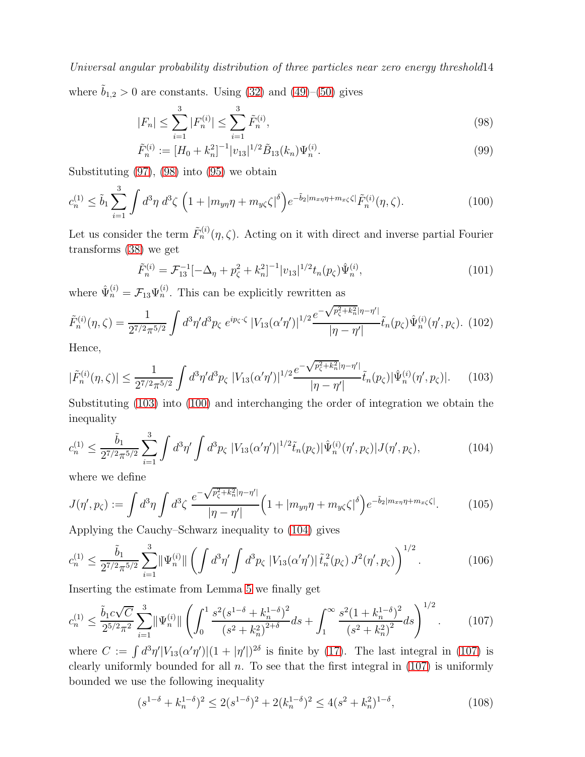where  $\tilde{b}_{1,2} > 0$  are constants. Using [\(32\)](#page-6-5) and [\(49\)](#page-7-4)–[\(50\)](#page-7-5) gives

<span id="page-13-0"></span>
$$
|F_n| \le \sum_{i=1}^3 |F_n^{(i)}| \le \sum_{i=1}^3 \tilde{F}_n^{(i)},\tag{98}
$$

<span id="page-13-2"></span>
$$
\tilde{F}_n^{(i)} := [H_0 + k_n^2]^{-1} |v_{13}|^{1/2} \tilde{B}_{13}(k_n) \Psi_n^{(i)}.
$$
\n(99)

Substituting [\(97\)](#page-12-2), [\(98\)](#page-13-0) into [\(95\)](#page-12-3) we obtain

$$
c_n^{(1)} \le \tilde{b}_1 \sum_{i=1}^3 \int d^3 \eta \ d^3 \zeta \ \left( 1 + |m_{y\eta}\eta + m_{y\zeta} \zeta|^{\delta} \right) e^{-\tilde{b}_2 |m_{x\eta}\eta + m_{x\zeta} \zeta|} \tilde{F}_n^{(i)}(\eta, \zeta).
$$
 (100)

Let us consider the term  $\tilde{F}_n^{(i)}(\eta,\zeta)$ . Acting on it with direct and inverse partial Fourier transforms [\(38\)](#page-6-6) we get

$$
\tilde{F}_n^{(i)} = \mathcal{F}_{13}^{-1}[-\Delta_\eta + p_\zeta^2 + k_n^2]^{-1} |v_{13}|^{1/2} t_n(p_\zeta) \hat{\Psi}_n^{(i)},\tag{101}
$$

where  $\hat{\Psi}_n^{(i)} = \mathcal{F}_{13} \Psi_n^{(i)}$ . This can be explicitly rewritten as

$$
\tilde{F}_n^{(i)}(\eta,\zeta) = \frac{1}{2^{7/2}\pi^{5/2}} \int d^3\eta' d^3p_{\zeta} e^{ip_{\zeta}\cdot\zeta} |V_{13}(\alpha'\eta')|^{1/2} \frac{e^{-\sqrt{p_{\zeta}^2 + k_n^2}|\eta - \eta'|}}{|\eta - \eta'|} \tilde{t}_n(p_{\zeta}) \hat{\Psi}_n^{(i)}(\eta', p_{\zeta}).
$$
(102)

Hence,

<span id="page-13-1"></span>
$$
|\tilde{F}_n^{(i)}(\eta,\zeta)| \le \frac{1}{2^{7/2}\pi^{5/2}} \int d^3\eta' d^3p_{\zeta} |V_{13}(\alpha'\eta')|^{1/2} \frac{e^{-\sqrt{p_{\zeta}^2 + k_n^2}|\eta - \eta'|}}{|\eta - \eta'|} \tilde{t}_n(p_{\zeta}) |\hat{\Psi}_n^{(i)}(\eta', p_{\zeta})|.
$$
 (103)

Substituting [\(103\)](#page-13-1) into [\(100\)](#page-13-2) and interchanging the order of integration we obtain the inequality

<span id="page-13-3"></span>
$$
c_n^{(1)} \le \frac{\tilde{b}_1}{2^{7/2}\pi^{5/2}} \sum_{i=1}^3 \int d^3\eta' \int d^3p_\zeta \left|V_{13}(\alpha'\eta')\right|^{1/2} \tilde{t}_n(p_\zeta) |\hat{\Psi}_n^{(i)}(\eta', p_\zeta)| J(\eta', p_\zeta),\tag{104}
$$

where we define

<span id="page-13-5"></span>
$$
J(\eta', p_{\zeta}) := \int d^3\eta \int d^3\zeta \, \frac{e^{-\sqrt{p_{\zeta}^2 + k_n^2} |\eta - \eta'|}}{|\eta - \eta'|} \Big( 1 + |m_{y\eta}\eta + m_{y\zeta} \zeta|^{\delta} \Big) e^{-\tilde{b}_2 |m_{x\eta}\eta + m_{x\zeta} \zeta|}.\tag{105}
$$

Applying the Cauchy–Schwarz inequality to [\(104\)](#page-13-3) gives

$$
c_n^{(1)} \le \frac{\tilde{b}_1}{2^{7/2}\pi^{5/2}} \sum_{i=1}^3 \|\Psi_n^{(i)}\| \left( \int d^3\eta' \int d^3p_\zeta \, |V_{13}(\alpha'\eta')| \, \tilde{t}_n^{\,2}(p_\zeta) \, J^2(\eta', p_\zeta) \right)^{1/2} . \tag{106}
$$

Inserting the estimate from Lemma [5](#page-14-0) we finally get

<span id="page-13-4"></span>
$$
c_n^{(1)} \le \frac{\tilde{b}_1 c \sqrt{C}}{2^{5/2} \pi^2} \sum_{i=1}^3 \|\Psi_n^{(i)}\| \left( \int_0^1 \frac{s^2 (s^{1-\delta} + k_n^{1-\delta})^2}{(s^2 + k_n^2)^{2+\delta}} ds + \int_1^\infty \frac{s^2 (1 + k_n^{1-\delta})^2}{(s^2 + k_n^2)^2} ds \right)^{1/2}.
$$
 (107)

where  $C := \int d^3\eta' |V_{13}(\alpha'\eta')|(1 + |\eta'|)^{2\delta}$  is finite by [\(17\)](#page-3-1). The last integral in [\(107\)](#page-13-4) is clearly uniformly bounded for all  $n$ . To see that the first integral in  $(107)$  is uniformly bounded we use the following inequality

$$
(s^{1-\delta} + k_n^{1-\delta})^2 \le 2(s^{1-\delta})^2 + 2(k_n^{1-\delta})^2 \le 4(s^2 + k_n^2)^{1-\delta},\tag{108}
$$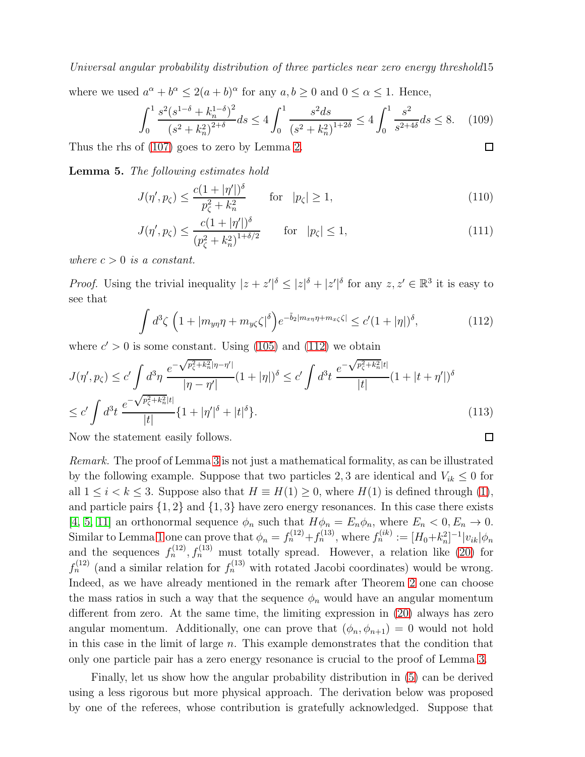Universal angular probability distribution of three particles near zero energy threshold15 where we used  $a^{\alpha} + b^{\alpha} \leq 2(a+b)^{\alpha}$  for any  $a, b \geq 0$  and  $0 \leq \alpha \leq 1$ . Hence,

$$
\int_0^1 \frac{s^2(s^{1-\delta} + k_n^{1-\delta})^2}{(s^2 + k_n^2)^{2+\delta}} ds \le 4 \int_0^1 \frac{s^2 ds}{(s^2 + k_n^2)^{1+2\delta}} \le 4 \int_0^1 \frac{s^2}{s^{2+4\delta}} ds \le 8. \quad (109)
$$
  
is of (107) goes to zero by Lemma 2.

Thus the rhs of [\(107\)](#page-13-4) goes to zero by Lemma [2.](#page-7-1)

<span id="page-14-0"></span>Lemma 5. The following estimates hold

$$
J(\eta', p_{\zeta}) \le \frac{c(1+|\eta'|)^{\delta}}{p_{\zeta}^2 + k_n^2} \quad \text{for} \quad |p_{\zeta}| \ge 1,
$$
 (110)

$$
J(\eta', p_{\zeta}) \le \frac{c(1+|\eta'|)^{\delta}}{(p_{\zeta}^2 + k_n^2)^{1+\delta/2}} \quad \text{for} \quad |p_{\zeta}| \le 1,
$$
 (111)

where  $c > 0$  is a constant.

*Proof.* Using the trivial inequality  $|z + z'|^{\delta} \leq |z|^{\delta} + |z'|^{\delta}$  for any  $z, z' \in \mathbb{R}^3$  it is easy to see that

<span id="page-14-1"></span>
$$
\int d^3\zeta \left(1+|m_{y\eta}\eta+m_{y\zeta}\zeta|^{\delta}\right) e^{-\tilde{b}_2|m_{x\eta}\eta+m_{x\zeta}\zeta|} \leq c'(1+|\eta|)^{\delta},\tag{112}
$$

where  $c' > 0$  is some constant. Using [\(105\)](#page-13-5) and [\(112\)](#page-14-1) we obtain

$$
J(\eta', p_{\zeta}) \le c' \int d^3 \eta \, \frac{e^{-\sqrt{p_{\zeta}^2 + k_n^2} |\eta - \eta'|}}{|\eta - \eta'|} (1 + |\eta|)^{\delta} \le c' \int d^3 t \, \frac{e^{-\sqrt{p_{\zeta}^2 + k_n^2} |t|}}{|t|} (1 + |t + \eta'|)^{\delta}
$$
  

$$
\le c' \int d^3 t \, \frac{e^{-\sqrt{p_{\zeta}^2 + k_n^2} |t|}}{|t|} \{1 + |\eta'|^{\delta} + |t|^{\delta}\}. \tag{113}
$$

Now the statement easily follows.

Remark. The proof of Lemma [3](#page-12-0) is not just a mathematical formality, as can be illustrated by the following example. Suppose that two particles 2, 3 are identical and  $V_{ik} \leq 0$  for all  $1 \leq i \leq k \leq 3$ . Suppose also that  $H \equiv H(1) \geq 0$ , where  $H(1)$  is defined through [\(1\)](#page-0-0), and particle pairs  $\{1,2\}$  and  $\{1,3\}$  have zero energy resonances. In this case there exists [\[4,](#page-16-3) [5,](#page-16-4) [11\]](#page-16-11) an orthonormal sequence  $\phi_n$  such that  $H\phi_n = E_n\phi_n$ , where  $E_n < 0, E_n \to 0$ . Similar to Lemma [1](#page-5-2) one can prove that  $\phi_n = f_n^{(12)} + f_n^{(13)}$ , where  $f_n^{(ik)} := [H_0 + k_n^2]^{-1} |v_{ik}| \phi_n$ and the sequences  $f_n^{(12)}$ ,  $f_n^{(13)}$  must totally spread. However, a relation like [\(20\)](#page-4-2) for  $f_n^{(12)}$  (and a similar relation for  $f_n^{(13)}$  with rotated Jacobi coordinates) would be wrong. Indeed, as we have already mentioned in the remark after Theorem [2](#page-4-1) one can choose the mass ratios in such a way that the sequence  $\phi_n$  would have an angular momentum different from zero. At the same time, the limiting expression in [\(20\)](#page-4-2) always has zero angular momentum. Additionally, one can prove that  $(\phi_n, \phi_{n+1}) = 0$  would not hold in this case in the limit of large  $n$ . This example demonstrates that the condition that only one particle pair has a zero energy resonance is crucial to the proof of Lemma [3.](#page-12-0)

Finally, let us show how the angular probability distribution in [\(5\)](#page-1-0) can be derived using a less rigorous but more physical approach. The derivation below was proposed by one of the referees, whose contribution is gratefully acknowledged. Suppose that

$$
\Box
$$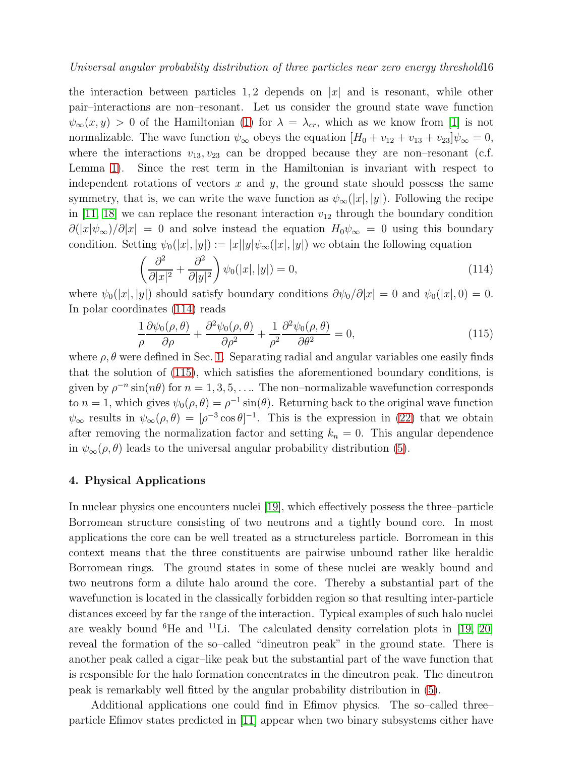the interaction between particles 1,2 depends on  $|x|$  and is resonant, while other pair–interactions are non–resonant. Let us consider the ground state wave function  $\psi_{\infty}(x, y) > 0$  of the Hamiltonian [\(1\)](#page-0-0) for  $\lambda = \lambda_{cr}$ , which as we know from [\[1\]](#page-16-0) is not normalizable. The wave function  $\psi_{\infty}$  obeys the equation  $[H_0 + v_{12} + v_{13} + v_{23}]\psi_{\infty} = 0$ , where the interactions  $v_{13}, v_{23}$  can be dropped because they are non-resonant (c.f. Lemma [1\)](#page-5-2). Since the rest term in the Hamiltonian is invariant with respect to independent rotations of vectors  $x$  and  $y$ , the ground state should possess the same symmetry, that is, we can write the wave function as  $\psi_{\infty}(|x|, |y|)$ . Following the recipe in [\[11,](#page-16-11) [18\]](#page-16-17) we can replace the resonant interaction  $v_{12}$  through the boundary condition  $\partial(|x|\psi_{\infty})/\partial|x| = 0$  and solve instead the equation  $H_0\psi_{\infty} = 0$  using this boundary condition. Setting  $\psi_0(|x|, |y|) := |x||y|\psi_\infty(|x|, |y|)$  we obtain the following equation

<span id="page-15-1"></span>
$$
\left(\frac{\partial^2}{\partial |x|^2} + \frac{\partial^2}{\partial |y|^2}\right)\psi_0(|x|, |y|) = 0,\tag{114}
$$

where  $\psi_0(|x|, |y|)$  should satisfy boundary conditions  $\partial \psi_0/\partial |x| = 0$  and  $\psi_0(|x|, 0) = 0$ . In polar coordinates [\(114\)](#page-15-1) reads

<span id="page-15-2"></span>
$$
\frac{1}{\rho} \frac{\partial \psi_0(\rho, \theta)}{\partial \rho} + \frac{\partial^2 \psi_0(\rho, \theta)}{\partial \rho^2} + \frac{1}{\rho^2} \frac{\partial^2 \psi_0(\rho, \theta)}{\partial \theta^2} = 0,
$$
\n(115)

where  $\rho$ ,  $\theta$  were defined in Sec. [1.](#page-0-1) Separating radial and angular variables one easily finds that the solution of [\(115\)](#page-15-2), which satisfies the aforementioned boundary conditions, is given by  $\rho^{-n} \sin(n\theta)$  for  $n = 1, 3, 5, \ldots$  The non-normalizable wavefunction corresponds to  $n = 1$ , which gives  $\psi_0(\rho, \theta) = \rho^{-1} \sin(\theta)$ . Returning back to the original wave function  $\psi_{\infty}$  results in  $\psi_{\infty}(\rho,\theta) = [\rho^{-3}\cos\theta]^{-1}$ . This is the expression in [\(22\)](#page-4-4) that we obtain after removing the normalization factor and setting  $k_n = 0$ . This angular dependence in  $\psi_{\infty}(\rho,\theta)$  leads to the universal angular probability distribution [\(5\)](#page-1-0).

## <span id="page-15-0"></span>4. Physical Applications

In nuclear physics one encounters nuclei [\[19\]](#page-16-18), which effectively possess the three–particle Borromean structure consisting of two neutrons and a tightly bound core. In most applications the core can be well treated as a structureless particle. Borromean in this context means that the three constituents are pairwise unbound rather like heraldic Borromean rings. The ground states in some of these nuclei are weakly bound and two neutrons form a dilute halo around the core. Thereby a substantial part of the wavefunction is located in the classically forbidden region so that resulting inter-particle distances exceed by far the range of the interaction. Typical examples of such halo nuclei are weakly bound <sup>6</sup>He and <sup>11</sup>Li. The calculated density correlation plots in [\[19,](#page-16-18) [20\]](#page-16-19) reveal the formation of the so–called "dineutron peak" in the ground state. There is another peak called a cigar–like peak but the substantial part of the wave function that is responsible for the halo formation concentrates in the dineutron peak. The dineutron peak is remarkably well fitted by the angular probability distribution in [\(5\)](#page-1-0).

Additional applications one could find in Efimov physics. The so–called three– particle Efimov states predicted in [\[11\]](#page-16-11) appear when two binary subsystems either have